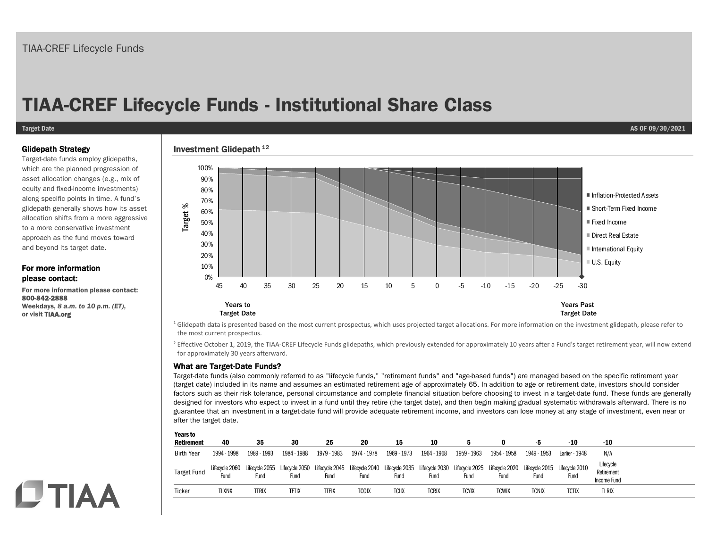# **TIAA-CREF Lifecycle Funds - Institutional Share Class**

#### **Target Date AS OF 09/30/2021**

### Glidepath Strategy

Target-date funds employ glidepaths, which are the planned progression of asset allocation changes (e.g., mix of equity and fixed-income investments) along specific points in time. A fund's glidepath generally shows how its asset allocation shifts from a more aggressive to a more conservative investment approach as the fund moves toward and beyond its target date.

### For more information please contact:

For more information please contact: 800-842-2888 Weekdays, *8 a.m. to 10 p.m. (ET)*, or visit TIAA.org

## Investment Glidepath  $^{12}$



<sup>1</sup> Glidepath data is presented based on the most current prospectus, which uses projected target allocations. For more information on the investment glidepath, please refer to the most current prospectus.

<sup>2</sup> Effective October 1, 2019, the TIAA-CREF Lifecycle Funds glidepaths, which previously extended for approximately 10 years after a Fund's target retirement year, will now extend for approximately 30 years afterward.

### What are Target-Date Funds?

 $\mathbf{v}$  to  $\mathbf{v}$ 

Target-date funds (also commonly referred to as "lifecycle funds," "retirement funds" and "age-based funds") are managed based on the specific retirement year (target date) included in its name and assumes an estimated retirement age of approximately 65. In addition to age or retirement date, investors should consider factors such as their risk tolerance, personal circumstance and complete financial situation before choosing to invest in a target-date fund. These funds are generally designed for investors who expect to invest in a fund until they retire (the target date), and then begin making gradual systematic withdrawals afterward. There is no guarantee that an investment in a target-date fund will provide adequate retirement income, and investors can lose money at any stage of investment, even near or after the target date.

| <b>rears to</b><br><b>Retirement</b> | 40                     | 35                                                                                                                                                            | 30          | 25          | 20          | 15           | 10          |              |              |              | -10            | -10                                    |
|--------------------------------------|------------------------|---------------------------------------------------------------------------------------------------------------------------------------------------------------|-------------|-------------|-------------|--------------|-------------|--------------|--------------|--------------|----------------|----------------------------------------|
| <b>Birth Year</b>                    | 1994 - 1998            | 1989 - 1993                                                                                                                                                   | 1984 - 1988 | 1979 - 1983 | 1974 - 1978 | 1969 - 1973  | 1964 - 1968 | 1959 - 1963  | 1954 - 1958  | 1949 - 1953  | Earlier - 1948 | N/A                                    |
| <b>Target Fund</b>                   | Lifecycle 2060<br>Fund | Lifecycle 2055 Lifecycle 2050 Lifecycle 2045 Lifecycle 2040 Lifecycle 2035 Lifecycle 2030 Lifecycle 2025 Lifecycle 2020 Lifecycle 2015 Lifecycle 2010<br>Fund | Fund        | Fund        | Fund        | Fund         | Fund        | Fund         | Fund         | Fund         | Fund           | Lifecycle<br>Retirement<br>Income Fund |
| Ticker                               | tlxnx                  | TTRIX                                                                                                                                                         | tftix       | itfix       | tcoix       | <b>TCIIX</b> | tcrix       | <b>TCYIX</b> | <b>TCWIX</b> | <b>TCNIX</b> | <b>TCTIX</b>   | <b>TLRIX</b>                           |

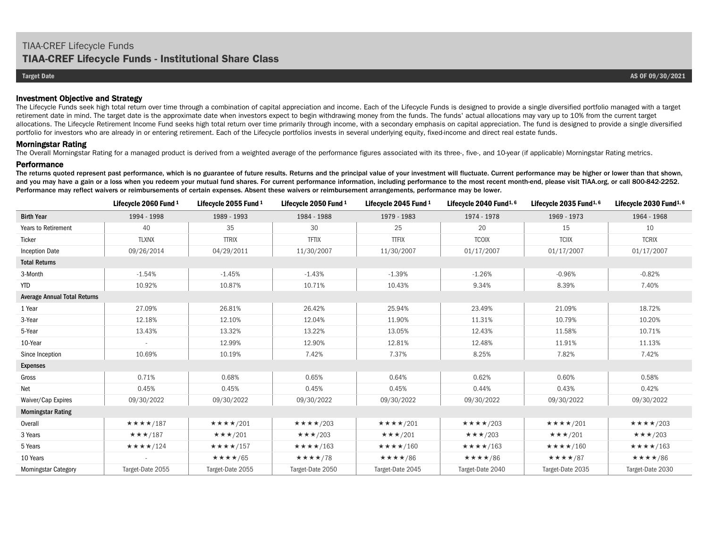### Investment Objective and Strategy

The Lifecycle Funds seek high total return over time through a combination of capital appreciation and income. Each of the Lifecycle Funds is designed to provide a single diversified portfolio managed with a target retirement date in mind. The target date is the approximate date when investors expect to begin withdrawing money from the funds. The funds' actual allocations may vary up to 10% from the current target allocations. The Lifecycle Retirement Income Fund seeks high total return over time primarily through income, with a secondary emphasis on capital appreciation. The fund is designed to provide a single diversified portfolio for investors who are already in or entering retirement. Each of the Lifecycle portfolios invests in several underlying equity, fixed-income and direct real estate funds.

#### Morningstar Rating

The Overall Morningstar Rating for a managed product is derived from a weighted average of the performance figures associated with its three-, five-, and 10-year (if applicable) Morningstar Rating metrics.

#### **Performance**

The returns quoted represent past performance, which is no guarantee of future results. Returns and the principal value of your investment will fluctuate. Current performance may be higher or lower than that shown, and you may have a gain or a loss when you redeem your mutual fund shares. For current performance information, including performance to the most recent month-end, please visit TIAA.org, or call 800-842-2252. Performance may reflect waivers or reimbursements of certain expenses. Absent these waivers or reimbursement arrangements, performance may be lower.

|                                     | Lifecycle 2060 Fund 1          | Lifecycle 2055 Fund 1       | Lifecycle 2050 Fund 1          | Lifecycle 2045 Fund 1       | Lifecycle 2040 Fund $1,6$   | Lifecycle 2035 Fund $1,6$   | Lifecycle $2030$ Fund <sup>1, 6</sup> |  |  |  |
|-------------------------------------|--------------------------------|-----------------------------|--------------------------------|-----------------------------|-----------------------------|-----------------------------|---------------------------------------|--|--|--|
| <b>Birth Year</b>                   | 1994 - 1998                    | 1989 - 1993                 | 1984 - 1988                    | 1979 - 1983                 | 1974 - 1978                 | 1969 - 1973                 | 1964 - 1968                           |  |  |  |
| Years to Retirement                 | 40                             | 35                          | 30                             | 25                          | 20                          | 15                          | 10                                    |  |  |  |
| Ticker                              | <b>TLXNX</b>                   | <b>TTRIX</b>                | <b>TFTIX</b>                   | <b>TTFIX</b>                | <b>TCOIX</b>                | <b>TCIIX</b>                | <b>TCRIX</b>                          |  |  |  |
| <b>Inception Date</b>               | 09/26/2014                     | 04/29/2011                  | 11/30/2007                     | 11/30/2007                  | 01/17/2007                  | 01/17/2007                  | 01/17/2007                            |  |  |  |
| <b>Total Returns</b>                |                                |                             |                                |                             |                             |                             |                                       |  |  |  |
| 3-Month                             | $-1.54%$                       | $-1.45%$                    | $-1.43%$                       | $-1.39%$                    | $-1.26%$                    | $-0.96%$                    | $-0.82%$                              |  |  |  |
| <b>YTD</b>                          | 10.92%                         | 10.87%                      | 10.71%                         | 10.43%                      | 9.34%                       | 8.39%                       | 7.40%                                 |  |  |  |
| <b>Average Annual Total Returns</b> |                                |                             |                                |                             |                             |                             |                                       |  |  |  |
| 1 Year                              | 27.09%                         | 26.81%                      | 26.42%                         | 25.94%                      | 23.49%                      | 21.09%                      | 18.72%                                |  |  |  |
| 3-Year                              | 12.18%                         | 12.10%                      | 12.04%                         | 11.90%                      | 11.31%                      | 10.79%                      | 10.20%                                |  |  |  |
| 5-Year                              | 13.43%                         | 13.32%                      | 13.22%                         | 13.05%                      | 12.43%                      | 11.58%                      | 10.71%                                |  |  |  |
| 10-Year                             |                                | 12.99%                      | 12.90%                         | 12.81%                      | 12.48%                      | 11.91%                      | 11.13%                                |  |  |  |
| Since Inception                     | 10.69%                         | 10.19%                      | 7.42%                          | 7.37%                       | 8.25%                       | 7.82%                       | 7.42%                                 |  |  |  |
| <b>Expenses</b>                     |                                |                             |                                |                             |                             |                             |                                       |  |  |  |
| Gross                               | 0.71%                          | 0.68%                       | 0.65%                          | 0.64%                       | 0.62%                       | 0.60%                       | 0.58%                                 |  |  |  |
| Net                                 | 0.45%                          | 0.45%                       | 0.45%                          | 0.45%                       | 0.44%                       | 0.43%                       | 0.42%                                 |  |  |  |
| Waiver/Cap Expires                  | 09/30/2022                     | 09/30/2022                  | 09/30/2022                     | 09/30/2022                  | 09/30/2022                  | 09/30/2022                  | 09/30/2022                            |  |  |  |
| <b>Morningstar Rating</b>           |                                |                             |                                |                             |                             |                             |                                       |  |  |  |
| Overall                             | $\star\star\star\star$ /187    | $\star\star\star\star$ /201 | $\star\star\star\star$ /203    | $\star\star\star\star$ /201 | $\star\star\star\star$ /203 | $\star\star\star\star$ /201 | $\star\star\star\star$ /203           |  |  |  |
| 3 Years                             | $\star \star \star$ /187       | $\star \star \star 7201$    | $\star \star \star 7203$       | $\star \star \star 7201$    | $\star \star \star 7203$    | $\star \star \star /201$    | $\star \star \star 203$               |  |  |  |
| 5 Years                             | $\star \star \star \star$ /124 | $\star\star\star\star$ /157 | $\star \star \star \star$ /163 | $\star\star\star\star$ /160 | $\star\star\star\star$ /163 | $\star\star\star\star$ /160 | $\star\star\star\star$ /163           |  |  |  |
| 10 Years                            |                                | $\star\star\star\star/65$   | $\star\star\star\star/78$      | $\star\star\star\star/86$   | $\star\star\star\star/86$   | ★★★★/87                     | $\star\star\star\star/86$             |  |  |  |
| <b>Morningstar Category</b>         | Target-Date 2055               | Target-Date 2055            | Target-Date 2050               | Target-Date 2045            | Target-Date 2040            | Target-Date 2035            | Target-Date 2030                      |  |  |  |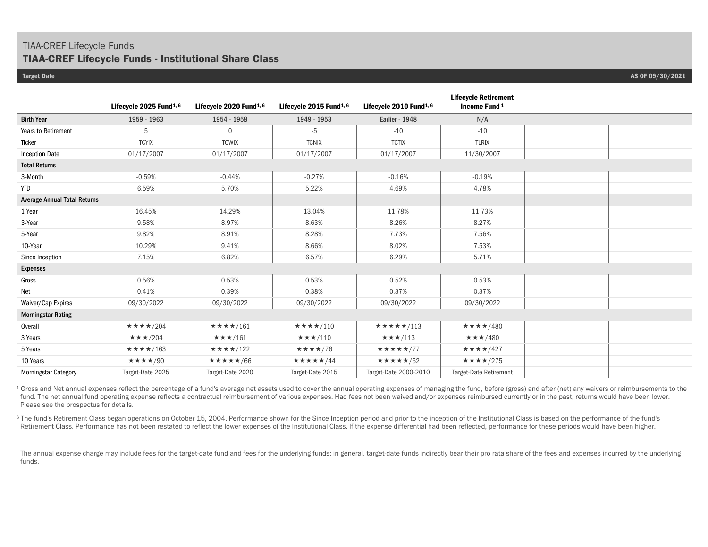## TIAA-CREF Lifecycle Funds

## **TIAA-CREF Lifecycle Funds - Institutional Share Class**

|                                     | Lifecycle 2025 Fund <sup>1, 6</sup> | Lifecycle 2020 Fund <sup>1, 6</sup> | Lifecycle 2015 Fund <sup>1, 6</sup> | Lifecycle 2010 Fund <sup>1, 6</sup> | <b>Lifecycle Retirement</b><br>Income Fund <sup>1</sup> |  |
|-------------------------------------|-------------------------------------|-------------------------------------|-------------------------------------|-------------------------------------|---------------------------------------------------------|--|
| <b>Birth Year</b>                   | 1959 - 1963                         | 1954 - 1958                         | 1949 - 1953                         | <b>Earlier - 1948</b>               | N/A                                                     |  |
| Years to Retirement                 | 5                                   | $\mathbf{0}$                        | -5                                  | $-10$                               | $-10$                                                   |  |
| Ticker                              | <b>TCYIX</b>                        | <b>TCWIX</b>                        | <b>TCNIX</b>                        | <b>TCTIX</b>                        | <b>TLRIX</b>                                            |  |
| <b>Inception Date</b>               | 01/17/2007                          | 01/17/2007                          | 01/17/2007                          | 01/17/2007                          | 11/30/2007                                              |  |
| <b>Total Returns</b>                |                                     |                                     |                                     |                                     |                                                         |  |
| 3-Month                             | $-0.59%$                            | $-0.44%$                            | $-0.27%$                            | $-0.16%$                            | $-0.19%$                                                |  |
| <b>YTD</b>                          | 6.59%                               | 5.70%                               | 5.22%                               | 4.69%                               | 4.78%                                                   |  |
| <b>Average Annual Total Returns</b> |                                     |                                     |                                     |                                     |                                                         |  |
| 1 Year                              | 16.45%                              | 14.29%                              | 13.04%                              | 11.78%                              | 11.73%                                                  |  |
| 3-Year                              | 9.58%                               | 8.97%                               | 8.63%                               | 8.26%                               | 8.27%                                                   |  |
| 5-Year                              | 9.82%                               | 8.91%                               | 8.28%                               | 7.73%                               | 7.56%                                                   |  |
| 10-Year                             | 10.29%                              | 9.41%                               | 8.66%                               | 8.02%                               | 7.53%                                                   |  |
| Since Inception                     | 7.15%                               | 6.82%                               | 6.57%                               | 6.29%                               | 5.71%                                                   |  |
| <b>Expenses</b>                     |                                     |                                     |                                     |                                     |                                                         |  |
| Gross                               | 0.56%                               | 0.53%                               | 0.53%                               | 0.52%                               | 0.53%                                                   |  |
| Net                                 | 0.41%                               | 0.39%                               | 0.38%                               | 0.37%                               | 0.37%                                                   |  |
| Waiver/Cap Expires                  | 09/30/2022                          | 09/30/2022                          | 09/30/2022                          | 09/30/2022                          | 09/30/2022                                              |  |
| <b>Morningstar Rating</b>           |                                     |                                     |                                     |                                     |                                                         |  |
| Overall                             | ★★★★/204                            | ★★★★/161                            | $\star\star\star\star$ /110         | ★★★★★/113                           | ★★★★/480                                                |  |
| 3 Years                             | $\star \star \star 7204$            | $\star\star\star$ /161              | $\star\star\star$ /110              | $\star \star \star /113$            | $\star \star \star$ /480                                |  |
| 5 Years                             | $\star\star\star\star$ /163         | $\star\star\star\star$ /122         | $\star\star\star\star/76$           | ★★★★★/77                            | $\star\star\star\star$ /427                             |  |
| 10 Years                            | $\star\star\star\star/90$           | ★★★★★/66                            | ★★★★★/44                            | $\star\star\star\star\star$ /52     | $\star\star\star\star/275$                              |  |
| <b>Morningstar Category</b>         | Target-Date 2025                    | Target-Date 2020                    | Target-Date 2015                    | Target-Date 2000-2010               | <b>Target-Date Retirement</b>                           |  |

<sup>1</sup> Gross and Net annual expenses reflect the percentage of a fund's average net assets used to cover the annual operating expenses of managing the fund, before (gross) and after (net) any waivers or reimbursements to the fund. The net annual fund operating expense reflects a contractual reimbursement of various expenses. Had fees not been waived and/or expenses reimbursed currently or in the past, returns would have been lower. Please see the prospectus for details.

<sup>6</sup> The fund's Retirement Class began operations on October 15, 2004. Performance shown for the Since Inception period and prior to the inception of the Institutional Class is based on the performance of the fund's Retirement Class. Performance has not been restated to reflect the lower expenses of the Institutional Class. If the expense differential had been reflected, performance for these periods would have been higher.

The annual expense charge may include fees for the target-date fund and fees for the underlying funds; in general, target-date funds indirectly bear their pro rata share of the fees and expenses incurred by the underlying funds.

**Target Date AS OF 09/30/2021**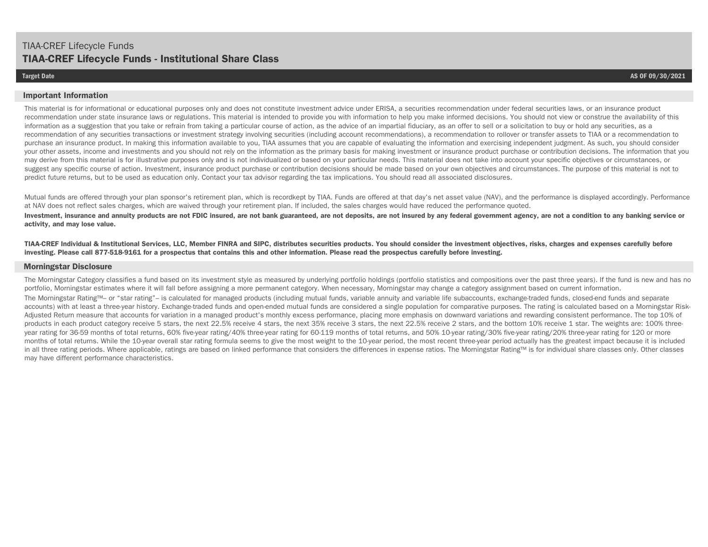#### **Important Information**

This material is for informational or educational purposes only and does not constitute investment advice under ERISA, a securities recommendation under federal securities laws, or an insurance product recommendation under state insurance laws or regulations. This material is intended to provide you with information to help you make informed decisions. You should not view or construe the availability of this information as a suggestion that you take or refrain from taking a particular course of action, as the advice of an impartial fiduciary, as an offer to sell or a solicitation to buy or hold any securities, as a recommendation of any securities transactions or investment strategy involving securities (including account recommendations), a recommendation to rollover or transfer assets to TIAA or a recommendation to purchase an insurance product. In making this information available to you, TIAA assumes that you are capable of evaluating the information and exercising independent judgment. As such, you should consider your other assets, income and investments and you should not rely on the information as the primary basis for making investment or insurance product purchase or contribution decisions. The information that you may derive from this material is for illustrative purposes only and is not individualized or based on your particular needs. This material does not take into account your specific objectives or circumstances, or suggest any specific course of action. Investment, insurance product purchase or contribution decisions should be made based on your own objectives and circumstances. The purpose of this material is not to predict future returns, but to be used as education only. Contact your tax advisor regarding the tax implications. You should read all associated disclosures.

Mutual funds are offered through your plan sponsor's retirement plan, which is recordkept by TIAA. Funds are offered at that day's net asset value (NAV), and the performance is displayed accordingly. Performance at NAV does not reflect sales charges, which are waived through your retirement plan. If included, the sales charges would have reduced the performance quoted.

Investment, insurance and annuity products are not FDIC insured, are not bank guaranteed, are not deposits, are not insured by any federal government agency, are not a condition to any banking service or **activity, and may lose value.**

**TIAA-CREF Individual & Institutional Services, LLC, Member FINRA and SIPC, distributes securities products. You should consider the investment objectives, risks, charges and expenses carefully before investing. Please call 877-518-9161 for a prospectus that contains this and other information. Please read the prospectus carefully before investing.** 

#### **Morningstar Disclosure**

The Morningstar Category classifies a fund based on its investment style as measured by underlying portfolio holdings (portfolio statistics and compositions over the past three years). If the fund is new and has no portfolio, Morningstar estimates where it will fall before assigning a more permanent category. When necessary, Morningstar may change a category assignment based on current information.

The Morningstar Rating™– or "star rating"– is calculated for managed products (including mutual funds, variable annuity and variable life subaccounts, exchange-traded funds, closed-end funds and separate accounts) with at least a three-year history. Exchange-traded funds and open-ended mutual funds are considered a single population for comparative purposes. The rating is calculated based on a Morningstar Risk-Adjusted Return measure that accounts for variation in a managed product's monthly excess performance, placing more emphasis on downward variations and rewarding consistent performance. The top 10% of products in each product category receive 5 stars, the next 22.5% receive 4 stars, the next 35% receive 3 stars, the next 22.5% receive 2 stars, and the bottom 10% receive 1 star. The weights are: 100% threeyear rating for 36-59 months of total returns, 60% five-year rating/40% three-year rating for 60-119 months of total returns, and 50% 10-year rating/30% five-year rating/20% three-year rating for 120 or more months of total returns. While the 10-year overall star rating formula seems to give the most weight to the 10-year period, the most recent three-year period actually has the greatest impact because it is included in all three rating periods. Where applicable, ratings are based on linked performance that considers the differences in expense ratios. The Morningstar Rating™ is for individual share classes only. Other classes may have different performance characteristics.